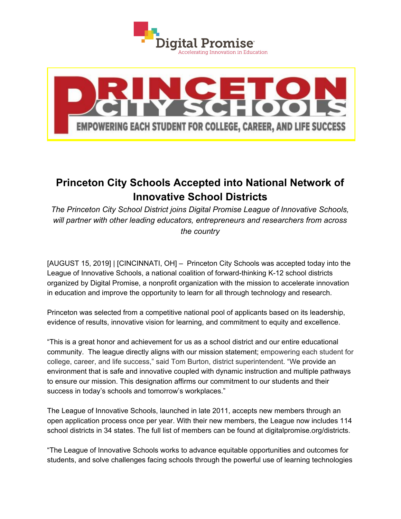



## **Princeton City Schools Accepted into National Network of Innovative School Districts**

*The Princeton City School District joins Digital Promise League of Innovative Schools, will partner with other leading educators, entrepreneurs and researchers from across the country*

[AUGUST 15, 2019] | [CINCINNATI, OH] – Princeton City Schools was accepted today into the League of Innovative Schools, a national coalition of forward-thinking K-12 school districts organized by Digital Promise, a nonprofit organization with the mission to accelerate innovation in education and improve the opportunity to learn for all through technology and research.

Princeton was selected from a competitive national pool of applicants based on its leadership, evidence of results, innovative vision for learning, and commitment to equity and excellence.

"This is a great honor and achievement for us as a school district and our entire educational community. The league directly aligns with our mission statement; empowering each student for college, career, and life success," said Tom Burton, district superintendent. "We provide an environment that is safe and innovative coupled with dynamic instruction and multiple pathways to ensure our mission. This designation affirms our commitment to our students and their success in today's schools and tomorrow's workplaces."

The League of Innovative Schools, launched in late 2011, accepts new members through an open application process once per year. With their new members, the League now includes 114 school districts in 34 states. The full list of members can be found at [digitalpromise.org/districts](http://www.digitalpromise.org/districts).

"The League of Innovative Schools works to advance equitable opportunities and outcomes for students, and solve challenges facing schools through the powerful use of learning technologies